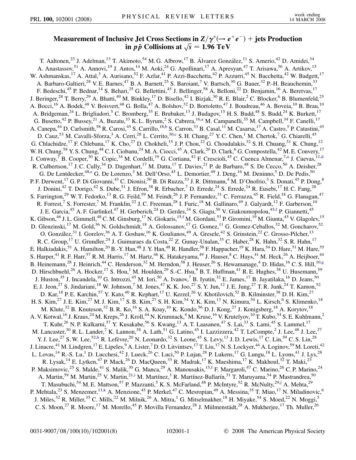## Measurement of Inclusive Jet Cross Sections in  $\mathbf{Z}/\pmb{\gamma}^*\!\left(\rightarrow e^+e^-\right)+\,$  jets Production **in**  $p\bar{p}$  Collisions at  $\sqrt{s} = 1.96 \text{ TeV}$

<span id="page-0-9"></span><span id="page-0-8"></span><span id="page-0-7"></span><span id="page-0-6"></span><span id="page-0-5"></span><span id="page-0-4"></span><span id="page-0-3"></span><span id="page-0-2"></span><span id="page-0-1"></span><span id="page-0-0"></span>T. Aaltonen,<sup>23</sup> J. Adelman,<sup>13</sup> T. Akimoto,<sup>54</sup> M. G. Albrow,<sup>17</sup> B. Álvarez González,<sup>11</sup> S. Amerio,<sup>42</sup> D. Amidei,<sup>34</sup> A. Anastassov,<sup>51</sup> A. Annovi,<sup>19</sup> J. Antos,<sup>14</sup> M. Aoki,<sup>24</sup> G. Apollinari,<sup>17</sup> A. Apresyan,<sup>47</sup> T. Arisawa,<sup>56</sup> A. Artikov,<sup>15</sup> W. Ashmanskas,<sup>17</sup> A. Attal,<sup>3</sup> A. Aurisano,<sup>52</sup> F. Azfar,<sup>41</sup> P. Azzi-Bacchetta,<sup>42</sup> P. Azzurri,<sup>45</sup> N. Bacchetta,<sup>42</sup> W. Badgett,<sup>17</sup> A. Barbaro-Galtieri,<sup>28</sup> V. E. Barnes,<sup>47</sup> B. A. Barnett,<sup>25</sup> S. Baroiant,<sup>7</sup> V. Bartsch,<sup>30</sup> G. Bauer,<sup>32</sup> P.-H. Beauchemin,<sup>33</sup> F. Bedeschi,<sup>45</sup> P. Bednar,<sup>14</sup> S. Behari,<sup>25</sup> G. Bellettini,<sup>45</sup> J. Bellinger,<sup>58</sup> A. Belloni,<sup>22</sup> D. Benjamin,<sup>16</sup> A. Beretvas,<sup>17</sup> J. Beringer,<sup>28</sup> T. Berry,<sup>29</sup> A. Bhatti,<sup>49</sup> M. Binkley,<sup>17</sup> D. Bisello,<sup>42</sup> I. Bizjak,<sup>30</sup> R. E. Blair,<sup>2</sup> C. Blocker,<sup>6</sup> B. Blumenfeld,<sup>25</sup> A. Bocci,<sup>16</sup> A. Bodek,<sup>48</sup> V. Boisvert,<sup>48</sup> G. Bolla,<sup>47</sup> A. Bolshov,<sup>32</sup> D. Bortoletto,<sup>47</sup> J. Boudreau,<sup>46</sup> A. Boveia,<sup>10</sup> B. Brau,<sup>10</sup> A. Bridgeman,<sup>24</sup> L. Brigliadori,<sup>5</sup> C. Bromberg,<sup>35</sup> E. Brubaker,<sup>13</sup> J. Budagov,<sup>15</sup> H. S. Budd,<sup>48</sup> S. Budd,<sup>24</sup> K. Burkett,<sup>17</sup> G. Busetto,<sup>42</sup> P. Bussey,<sup>21</sup> A. Buzatu,<sup>33</sup> K. L. Byrum,<sup>2</sup> S. Cabrera,<sup>16[,a](#page-6-0)</sup> M. Campanelli,<sup>35</sup> M. Campbell,<sup>34</sup> F. Canelli,<sup>17</sup> A. Canepa,<sup>44</sup> D. Carlsmith,<sup>58</sup> R. Carosi,<sup>45</sup> S. Carrillo,<sup>18,[b](#page-6-1)</sup> S. Carron,<sup>33</sup> B. Casal,<sup>11</sup> M. Casarsa,<sup>17</sup> A. Castro,<sup>5</sup> P. Catastini,<sup>45</sup> D. Cauz,<sup>53</sup> M. Cavalli-Sforza,<sup>3</sup> A. Cerri,<sup>28</sup> L. Cerrito,<sup>30[,c](#page-6-2)</sup> S. H. Chang,<sup>27</sup> Y. C. Chen,<sup>1</sup> M. Chertok,<sup>7</sup> G. Chiarelli,<sup>45</sup> G. Chlachidze, <sup>17</sup> F. Chlebana, <sup>17</sup> K. Cho, <sup>27</sup> D. Chokheli, <sup>15</sup> J. P. Chou, <sup>22</sup> G. Choudalakis, <sup>32</sup> S. H. Chuang, <sup>51</sup> K. Chung, <sup>12</sup> W. H. Chung,<sup>58</sup> Y. S. Chung,<sup>48</sup> C. I. Ciobanu,<sup>24</sup> M. A. Ciocci,<sup>45</sup> A. Clark,<sup>20</sup> D. Clark,<sup>6</sup> G. Compostella,<sup>42</sup> M. E. Convery,<sup>17</sup> J. Conw[a](#page-6-0)y,<sup>7</sup> B. Cooper,<sup>30</sup> K. Copic,<sup>34</sup> M. Cor[d](#page-6-3)elli,<sup>19</sup> G. Cortiana,<sup>42</sup> F. Crescioli,<sup>45</sup> C. Cuenca Almenar,<sup>7,a</sup> J. Cuevas,<sup>11,d</sup> R. Culbertson,<sup>17</sup> J. C. Cully,<sup>34</sup> D. Dagenhart,<sup>17</sup> M. Datta,<sup>17</sup> T. Davies,<sup>21</sup> P. de Barbaro,<sup>48</sup> S. De Cecco,<sup>50</sup> A. Deisher,<sup>28</sup> G. De Lentdecker, $^{48,e}$  $^{48,e}$  $^{48,e}$  G. De Lorenzo, $^{3}$  M. Dell'Orso, $^{45}$  L. Demortier, $^{49}$  J. Deng, $^{16}$  M. Deninno, $^{5}$  D. De Pedis, $^{50}$ P. F. Derwent, <sup>17</sup> G. P. Di Giovanni, <sup>43</sup> C. Dionisi, <sup>50</sup> B. Di Ruzza, <sup>53</sup> J. R. Dittmann, <sup>4</sup> M. D'Onofrio, <sup>3</sup> S. Donati, <sup>45</sup> P. Dong, <sup>8</sup> J. Donini,<sup>42</sup> T. Dorigo,<sup>42</sup> S. Dube,<sup>51</sup> J. Efron,<sup>38</sup> R. Erbacher,<sup>7</sup> D. Errede,<sup>24</sup> S. Errede,<sup>24</sup> R. Eusebi,<sup>17</sup> H. C. Fang,<sup>28</sup> S. Farrington,<sup>29</sup> W. T. Fedorko,<sup>13</sup> R. G. Feild,<sup>59</sup> M. Feindt,<sup>26</sup> J. P. Fernandez,<sup>31</sup> C. Ferrazza,<sup>45</sup> R. Field,<sup>18</sup> G. Flanagan,<sup>47</sup> R. Forrest,<sup>7</sup> S. Forrester,<sup>7</sup> M. Franklin,<sup>22</sup> J. C. Freeman,<sup>28</sup> I. Furic,<sup>18</sup> M. Gallinaro,<sup>49</sup> J. Galyardt,<sup>12</sup> F. Garberson,<sup>10</sup> J. E. Garcia,<sup>45</sup> A. F. Garfinkel,<sup>47</sup> H. Gerberich,<sup>24</sup> D. Gerdes,<sup>34</sup> S. Giagu,<sup>50</sup> V. Giakoumopolou,<sup>45[,f](#page-6-5)</sup> P. Giannetti,<sup>45</sup> K. Gibson,<sup>46</sup> J. L. Gimmell,<sup>48</sup> C. M. Ginsburg,<sup>17</sup> N. Giokaris,<sup>15[,f](#page-6-5)</sup> M. Giordani,<sup>53</sup> P. Giromini,<sup>19</sup> M. Giunta,<sup>45</sup> V. Glagolev,<sup>15</sup> D. Glenzinski,<sup>17</sup> M. Gold,<sup>36</sup> N. Goldschmidt,<sup>18</sup> A. Golossanov,<sup>17</sup> G. Gomez,<sup>11</sup> G. Gomez-Ceballos,<sup>32</sup> M. Goncharov,<sup>52</sup> O. González,<sup>31</sup> I. Gorelov,<sup>36</sup> A. T. Goshaw,<sup>16</sup> K. Goulianos,<sup>49</sup> A. Gresele,<sup>42</sup> S. Grinstein,<sup>22</sup> C. Grosso-Pilcher,<sup>13</sup> R. C. Group,<sup>17</sup> U. Grundler,<sup>24</sup> J. Guimaraes da Costa,<sup>22</sup> Z. Gunay-Unalan,<sup>35</sup> C. Haber,<sup>28</sup> K. Hahn,<sup>32</sup> S. R. Hahn,<sup>17</sup> E. Halkiadakis,<sup>51</sup> A. Hamilton,<sup>20</sup> B.-Y. Han,<sup>48</sup> J. Y. Han,<sup>48</sup> R. Handler,<sup>58</sup> F. Happacher,<sup>19</sup> K. Hara,<sup>54</sup> D. Hare,<sup>51</sup> M. Hare,<sup>55</sup> S. Harper,<sup>41</sup> R. F. Harr,<sup>57</sup> R. M. Harris,<sup>17</sup> M. Hartz,<sup>46</sup> K. Hatakeyama,<sup>49</sup> J. Hauser,<sup>8</sup> C. Hays,<sup>41</sup> M. Heck,<sup>26</sup> A. Heijboer,<sup>44</sup> B. Heinemann,<sup>28</sup> J. Heinrich,<sup>44</sup> C. Henderson,<sup>32</sup> M. Herndon,<sup>58</sup> J. Heuser,<sup>26</sup> S. Hewamanage,<sup>4</sup> D. Hidas,<sup>16</sup> C. S. Hill,<sup>10[,g](#page-6-6)</sup> D. Hirschbuehl,<sup>26</sup> A. Hocker,<sup>17</sup> S. Hou,<sup>1</sup> M. Houlden,<sup>29</sup> S.-C. Hsu,<sup>9</sup> B. T. Huffman,<sup>41</sup> R. E. Hughes,<sup>38</sup> U. Husemann,<sup>59</sup> J. Huston,<sup>35</sup> J. Incandela,<sup>10</sup> G. Introzzi,<sup>45</sup> M. Iori,<sup>50</sup> A. Ivanov,<sup>7</sup> B. Iyutin,<sup>32</sup> E. James,<sup>17</sup> B. Jayatilaka,<sup>16</sup> D. Jeans,<sup>50</sup> E. J. Jeon,<sup>27</sup> S. Jindariani,<sup>18</sup> W. Johnson,<sup>7</sup> M. Jones,<sup>47</sup> K. K. Joo,<sup>27</sup> S. Y. Jun,<sup>12</sup> J. E. Jung,<sup>27</sup> T. R. Junk,<sup>24</sup> T. Kamon,<sup>52</sup> D. Kar, <sup>18</sup> P. E. Karchin, <sup>57</sup> Y. Kato, <sup>40</sup> R. Kephart, <sup>17</sup> U. Kerzel, <sup>26</sup> V. Khotilovich, <sup>52</sup> B. Kilminster, <sup>38</sup> D. H. Kim, <sup>27</sup> H. S. Kim,<sup>27</sup> J. E. Kim,<sup>27</sup> M. J. Kim,<sup>17</sup> S. B. Kim,<sup>27</sup> S. H. Kim,<sup>54</sup> Y. K. Kim,<sup>13</sup> N. Kimura,<sup>54</sup> L. Kirsch,<sup>6</sup> S. Klimenko,<sup>18</sup> M. Klute,<sup>32</sup> B. Knuteson,<sup>32</sup> B. R. Ko,<sup>16</sup> S. A. Koay,<sup>10</sup> K. Kondo,<sup>56</sup> D. J. Kong,<sup>27</sup> J. Konigsberg,<sup>18</sup> A. Korytov,<sup>18</sup> A. V. Kotwal, <sup>16</sup> J. Kraus, <sup>24</sup> M. Kreps, <sup>26</sup> J. Kroll, <sup>44</sup> N. Krumnack, <sup>4</sup> M. Kruse, <sup>16</sup> V. Krutelyov, <sup>10</sup> T. Kubo, <sup>54</sup> S. E. Kuhlmann, <sup>2</sup> T. Kuhr,<sup>26</sup> N. P. Kulkarni,<sup>57</sup> Y. Kusakabe,<sup>56</sup> S. Kwang,<sup>13</sup> A. T. Laasanen,<sup>47</sup> S. Lai,<sup>33</sup> S. Lami,<sup>45</sup> S. Lammel,<sup>17</sup> M. Lancaster,<sup>30</sup> R. L. Lander,<sup>7</sup> K. Lannon,<sup>38</sup> A. Lath,<sup>51</sup> G. Latino,<sup>45</sup> I. Lazzizzera,<sup>42</sup> T. LeCompte,<sup>2</sup> J. Lee,<sup>48</sup> J. Lee,<sup>27</sup> Y. J. Lee,<sup>27</sup> S. W. Lee,<sup>52,[h](#page-6-7)</sup> R. Lefèvre,<sup>20</sup> N. Leonardo,<sup>32</sup> S. Leone,<sup>45</sup> S. Levy,<sup>13</sup> J. D. Lewis,<sup>17</sup> C. Lin,<sup>59</sup> C. S. Lin,<sup>28</sup> J. Linacre,<sup>41</sup> M. Lindgren,<sup>17</sup> E. Lipeles,<sup>9</sup> A. Lister,<sup>7</sup> D. O. Litvintsev,<sup>17</sup> T. Liu,<sup>17</sup> N. S. Lockyer,<sup>44</sup> A. Loginov,<sup>59</sup> M. Loreti,<sup>42</sup> L. Lovas, <sup>14</sup> R.-S. Lu, <sup>1</sup> D. Lucchesi, <sup>42</sup> J. Lueck, <sup>26</sup> C. Luci, <sup>50</sup> P. Lujan, <sup>28</sup> P. Lukens, <sup>17</sup> G. Lungu, <sup>18</sup> L. Lyons, <sup>41</sup> J. Lys, <sup>28</sup> R. Lysak,<sup>14</sup> E. Lytken,<sup>47</sup> P. Mack,<sup>26</sup> D. MacQueen,<sup>33</sup> R. Madrak,<sup>17</sup> K. Maeshima,<sup>17</sup> K. Makhoul,<sup>32</sup> T. Maki,<sup>23</sup> P. Maksimovic,<sup>25</sup> S. Malde,<sup>41</sup> S. Malik,<sup>30</sup> G. Manca,<sup>29</sup> A. Manousakis,<sup>15[,f](#page-6-5)</sup> F. Margaroli,<sup>47</sup> C. Marino,<sup>26</sup> C. P. Marino,<sup>24</sup> A. Mart[i](#page-6-8)n,<sup>59</sup> M. Martin,<sup>25</sup> V. Martin,<sup>21,i</sup> M. Martínez,<sup>3</sup> R. Martínez-Ballarín,<sup>31</sup> T. Maruyama,<sup>54</sup> P. Mastrandrea,<sup>50</sup> T. Masubuchi, <sup>54</sup> M. E. Mattson, <sup>57</sup> P. Mazzanti, <sup>5</sup> K. S. McFarland, <sup>48</sup> P. McIntyre, <sup>52</sup> R. McNulty, <sup>29[,j](#page-6-9)</sup> A. Mehta, <sup>29</sup> P. Mehtala,<sup>23</sup> S. Menzemer,<sup>11[,k](#page-6-10)</sup> A. Menzione,<sup>45</sup> P. Merkel,<sup>47</sup> C. Mesropian,<sup>49</sup> A. Messina,<sup>35</sup> T. Miao,<sup>17</sup> N. Miladinovic,<sup>6</sup> J. Miles,<sup>32</sup> R. Miller,<sup>35</sup> C. Mills,<sup>22</sup> M. Milnik,<sup>26</sup> A. Mitra,<sup>1</sup> G. Mitselmakher,<sup>18</sup> H. Miyake,<sup>54</sup> S. Moed,<sup>22</sup> N. Moggi,<sup>5</sup> C. S. Moon,<sup>27</sup> R. Moore,<sup>17</sup> M. Morello,<sup>45</sup> P. Movilla Fernandez,<sup>28</sup> J. Mülmenstädt,<sup>28</sup> A. Mukherjee,<sup>17</sup> Th. Muller,<sup>26</sup>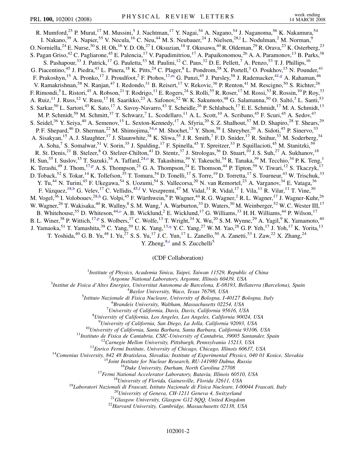<span id="page-1-2"></span><span id="page-1-1"></span><span id="page-1-0"></span>R. Mumford,<sup>25</sup> P. Murat,<sup>17</sup> M. Mussini,<sup>5</sup> J. Nachtman,<sup>17</sup> Y. Nagai,<sup>54</sup> A. Nagano,<sup>54</sup> J. Naganoma,<sup>56</sup> K. Nakamura,<sup>54</sup> I. Nakano,<sup>39</sup> A. Napier,<sup>55</sup> V. Necu[l](#page-6-11)a,<sup>16</sup> C. Neu,<sup>44</sup> M. S. Neubauer,<sup>24</sup> J. Nielsen,<sup>28,1</sup> L. Nodulman,<sup>2</sup> M. Norman,<sup>9</sup> O. Norniella,  $^{24}$  E. Nurse,  $^{30}$  S. H. Oh,  $^{16}$  Y. D. Oh,  $^{27}$  I. Oksuzian,  $^{18}$  T. Okusawa,  $^{40}$  R. Oldeman,  $^{29}$  R. Orava,  $^{23}$  K. Osterberg,  $^{23}$ S. Pagan Griso,<sup>42</sup> C. Pagliarone,<sup>45</sup> E. Palencia,<sup>17</sup> V. Papadimitriou,<sup>17</sup> A. Papaikonomou,<sup>26</sup> A. A. Paramonov,<sup>13</sup> B. Parks,<sup>38</sup> S. Pashapour,<sup>33</sup> J. Patrick,<sup>17</sup> G. Pauletta,<sup>53</sup> M. Paulini,<sup>12</sup> C. Paus,<sup>32</sup> D. E. Pellett,<sup>7</sup> A. Penzo,<sup>53</sup> T. J. Phillips,<sup>16</sup> G. Piacentino, <sup>45</sup> J. Piedra, <sup>43</sup> L. Pinera, <sup>18</sup> K. Pitts, <sup>24</sup> C. Plager, <sup>8</sup> L. Pondrom, <sup>58</sup> X. Portell, <sup>3</sup> O. Poukhov, <sup>15</sup> N. Pounder, <sup>41</sup> F. Prakoshyn,<sup>15</sup> A. Pronko,<sup>17</sup> J. Proudfoot,<sup>2</sup> F. Ptohos,<sup>17[,m](#page-6-12)</sup> G. Punzi,<sup>45</sup> J. Pursley,<sup>58</sup> J. Rademacker,<sup>41[,g](#page-6-6)</sup> A. Rahaman,<sup>46</sup> V. Ramakrishnan,<sup>58</sup> N. Ranjan,<sup>47</sup> I. Redondo,<sup>31</sup> B. Reisert,<sup>17</sup> V. Rekovic,<sup>36</sup> P. Renton,<sup>41</sup> M. Rescigno,<sup>50</sup> S. Richter,<sup>26</sup> F. Rimondi,<sup>5</sup> L. Ristori,<sup>45</sup> A. Robson,<sup>21</sup> T. Rodrigo,<sup>11</sup> E. Rogers,<sup>24</sup> S. Rolli,<sup>55</sup> R. Roser,<sup>17</sup> M. Rossi,<sup>53</sup> R. Rossin,<sup>10</sup> P. Roy,<sup>33</sup> A. Ruiz,<sup>11</sup> J. Russ,<sup>12</sup> V. Rusu,<sup>17</sup> H. Saarikko,<sup>23</sup> A. Safonov,<sup>52</sup> W. K. Sakumoto,<sup>48</sup> G. Salamanna,<sup>50</sup> O. Saltó,<sup>3</sup> L. Santi,<sup>53</sup> S. Sarkar,<sup>50</sup> L. Sartori,<sup>45</sup> K. Sato,<sup>17</sup> A. Savoy-Navarro,<sup>43</sup> T. Scheidle,<sup>26</sup> P. Schlabach,<sup>17</sup> E. E. Schmidt,<sup>17</sup> M. A. Schmidt,<sup>13</sup> M. P. Schmidt,<sup>59</sup> M. Schmitt,<sup>37</sup> T. Schwarz,<sup>7</sup> L. Scodellaro,<sup>11</sup> A. L. Scott,<sup>10</sup> A. Scribano,<sup>45</sup> F. Scuri,<sup>45</sup> A. Sedov,<sup>47</sup> S. Seidel,<sup>36</sup> Y. Seiya,<sup>40</sup> A. Semenov,<sup>15</sup> L. Sexton-Kennedy,<sup>17</sup> A. Sfyria,<sup>20</sup> S.Z. Shalhout,<sup>57</sup> M.D. Shapiro,<sup>28</sup> T. Shears,<sup>29</sup> P. F. Shepard,<sup>46</sup> D. Sherman,<sup>22</sup> M. Shimojima,<sup>54[,n](#page-6-13)</sup> M. Shochet,<sup>13</sup> Y. Shon,<sup>58</sup> I. Shreyber,<sup>20</sup> A. Sidoti,<sup>45</sup> P. Sinervo,<sup>33</sup> A. Sisakyan,<sup>15</sup> A. J. Slaughter,<sup>17</sup> J. Slaunwhite,<sup>38</sup> K. Sliwa,<sup>55</sup> J. R. Smith,<sup>7</sup> F. D. Snider,<sup>17</sup> R. Snihur,<sup>33</sup> M. Soderberg,<sup>34</sup> A. Soha,<sup>7</sup> S. Somalwar,<sup>51</sup> V. Sorin,<sup>35</sup> J. Spalding,<sup>17</sup> F. Spinella,<sup>45</sup> T. Spreitzer,<sup>33</sup> P. Squillacioti,<sup>45</sup> M. Stanitzki,<sup>59</sup> R. St. Denis,<sup>21</sup> B. Stelzer,<sup>8</sup> O. Stelzer-Chilton,<sup>41</sup> D. Stentz,<sup>37</sup> J. Strologas,<sup>36</sup> D. Stuart,<sup>10</sup> J. S. Suh,<sup>27</sup> A. Sukhanov,<sup>18</sup> H. Sun,<sup>55</sup> I. Suslov,<sup>15</sup> T. Suzuki,<sup>54</sup> A. Taffard,<sup>24,0</sup> R. Takashima,<sup>39</sup> Y. Takeuchi,<sup>54</sup> R. Tanaka,<sup>39</sup> M. Tecchio,<sup>34</sup> P. K. Teng,<sup>1</sup> K. Terashi,<sup>49</sup> J. Thom,<sup>17[,p](#page-6-15)</sup> A. S. Thompson,<sup>21</sup> G. A. Thompson,<sup>24</sup> E. Thomson,<sup>44</sup> P. Tipton,<sup>59</sup> V. Tiwari,<sup>12</sup> S. Tkaczyk,<sup>17</sup> D. Toback,<sup>52</sup> S. Tokar,<sup>14</sup> K. Tollefson,<sup>35</sup> T. Tomura,<sup>54</sup> D. Tonelli,<sup>17</sup> S. Torre,<sup>19</sup> D. Torretta,<sup>17</sup> S. Tourneur,<sup>43</sup> W. Trischuk,<sup>33</sup> Y. Tu,<sup>44</sup> N. Turini,<sup>45</sup> F. Ukegawa,<sup>54</sup> S. Uozumi,<sup>54</sup> S. Vallecorsa,<sup>20</sup> N. van Remortel,<sup>23</sup> A. Varganov,<sup>34</sup> E. Vataga,<sup>36</sup> F. Vázquez,<sup>18[,b](#page-6-1)</sup> G. Velev,<sup>17</sup> C. Vellidis,<sup>45,[f](#page-6-5)</sup> V. Veszpremi,<sup>47</sup> M. Vidal,<sup>31</sup> R. Vidal,<sup>17</sup> I. Vila,<sup>11</sup> R. Vilar,<sup>11</sup> T. Vine,<sup>30</sup> M. Vogel,<sup>36</sup> I. Volobouev,<sup>28,[h](#page-6-7)</sup> G. Volpi,<sup>45</sup> F. Würthwein,<sup>9</sup> P. Wagner,<sup>44</sup> R. G. Wagner,<sup>2</sup> R. L. Wagner,<sup>17</sup> J. Wagner-Kuhr,<sup>26</sup> W. Wagner,<sup>26</sup> T. Wakisaka,<sup>40</sup> R. Wallny,<sup>8</sup> S. M. Wang,<sup>1</sup> A. Warburton,<sup>33</sup> D. Waters,<sup>30</sup> M. Weinberger,<sup>52</sup> W. C. Wester III,<sup>17</sup> B. Whitehouse,<sup>55</sup> D. Whiteson,<sup>44[,o](#page-6-14)</sup> A. B. Wicklund,<sup>2</sup> E. Wicklund,<sup>17</sup> G. Williams,<sup>33</sup> H. H. Williams,<sup>44</sup> P. Wilson,<sup>17</sup> B. L. Winer,<sup>38</sup> P. Wittich,<sup>17[,p](#page-6-15)</sup> S. Wolbers,<sup>17</sup> C. Wolfe,<sup>13</sup> T. Wright,<sup>34</sup> X. Wu,<sup>20</sup> S. M. Wynne,<sup>29</sup> A. Yagil,<sup>9</sup> K. Yamamoto,<sup>40</sup> J. Yamaoka,<sup>51</sup> T. Yamashita,<sup>39</sup> C. Yang,<sup>59</sup> U.K. Yang,<sup>13,[q](#page-6-16)</sup> Y.C. Yang,<sup>27</sup> W.M. Yao,<sup>28</sup> G.P. Yeh,<sup>17</sup> J. Yoh,<sup>17</sup> K. Yorita,<sup>13</sup> T. Yoshida,<sup>40</sup> G. B. Yu,<sup>48</sup> I. Yu,<sup>27</sup> S. S. Yu,<sup>17</sup> J. C. Yun,<sup>17</sup> L. Zanello,<sup>50</sup> A. Zanetti,<sup>53</sup> I. Zaw,<sup>22</sup> X. Zhang,<sup>24</sup>

Y. Zheng, $^{8,r}$  $^{8,r}$  $^{8,r}$  and S. Zucchelli<sup>5</sup>

(CDF Collaboration)

<sup>1</sup>*Institute of Physics, Academia Sinica, Taipei, Taiwan 11529, Republic of China*<br><sup>2</sup><sup>4</sup> *Languna National Laboratory, Argonna Illinois 60430, USA* 

<span id="page-1-6"></span><span id="page-1-5"></span><span id="page-1-4"></span><span id="page-1-3"></span>*Argonne National Laboratory, Argonne, Illinois 60439, USA*<br><sup>3</sup> *Argonne National Laboratory, Argonne, Illinois 60439, USA*<sup>3</sup>

*Institut de Fisica d'Altes Energies, Universitat Autonoma de Barcelona, E-08193, Bellaterra (Barcelona), Spain* <sup>4</sup>

*Baylor University, Waco, Texas 76798, USA* <sup>5</sup>

<sup>5</sup>Istituto Nazionale di Fisica Nucleare, University of Bologna, I-40127 Bologna, Italy

*Brandeis University, Waltham, Massachusetts 02254, USA* <sup>7</sup>

*University of California, Davis, Davis, California 95616, USA* <sup>8</sup>

*University of California, Los Angeles, Los Angeles, California 90024, USA* <sup>9</sup>

<sup>9</sup>University of California, San Diego, La Jolla, California 92093, USA<br>
<sup>10</sup>University of California, Santa Barbara, Santa Barbara, California 93106, USA<br>
<sup>11</sup>Instituto de Eisica de Cantabria, CSIC-University of Cantabri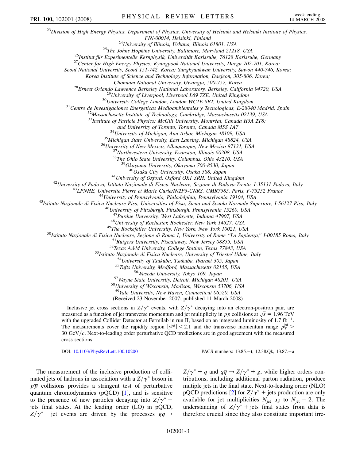<sup>23</sup>*Division of High Energy Physics, Department of Physics, University of Helsinki and Helsinki Institute of Physics,* FIN-00014, Helsinki, Finland<br><sup>24</sup>University of Illinois, Urbana, Illinois 61801, USA<br><sup>25</sup>The Johns Hopkins University, Baltimore, Maryland 21218, USA<br><sup>26</sup>Institut für Experimentelle Kernphysik, Universität Karlsruhe, 76128 *Seoul National University, Seoul 151-742, Korea; Sungkyunkwan University, Suwon 440-746, Korea; Korea Institute of Science and Technology Information, Daejeon, 305-806, Korea;* <sup>28</sup>Ernest Orlando Lawrence Berkeley National Laboratory, Berkeley, California 94720, USA<br><sup>29</sup>University of Liverpool, Liverpool L69 7ZE, United Kingdom<br><sup>30</sup>University College London, London WCIE 6BT, United Kingdom<br><sup>31</sup>C <sup>33</sup>Institute of Particle Physics: McGill University, Montréal, Canada H3A 2T8; and University of Toronto, Toronto, Canada M5S 1A7<br><sup>34</sup>University of Michigan, Ann Arbor, Michigan 48109, USA<br><sup>35</sup>Michigan State University, East Lansing, Michigan 48824, USA<br><sup>36</sup>University of New Mexico, Albuquerque, New <sup>41</sup>University of Oxford, Oxford OX1 3RH, United Kingdom<br><sup>42</sup>University of Padova, Istituto Nazionale di Fisica Nucleare, Sezione di Padova-Trento, I-35131 Padova, Italy<br><sup>43</sup>LPNHE, Universite Pierre et Marie Curie/IN2P3-C <sup>47</sup>Purdue University, West Lafayette, Indiana 47907, USA<br><sup>48</sup>University of Rochester, Rochester, New York 14627, USA<br><sup>48</sup>University of Rochester, Rochester, New York 14627, USA<br><sup>50</sup>Ustituto Nazionale di Fisica Nucleare, <sup>59</sup>*Yale University, New Haven, Connecticut 06520, USA* (Received 23 November 2007; published 11 March 2008) Inclusive jet cross sections in  $Z/\gamma^*$  events, with  $Z/\gamma^*$  decaying into an electron-positron pair, are measured as a function of jet transverse momentum and jet multiplicity in  $p\bar{p}$  collisions at  $\sqrt{s} = 1.96$  TeV with the upgraded Collider Detector at Fermilab in run II, based on an integrated luminosity of 1.7  $fb^{-1}$ . The measurements cover the rapidity region  $|y^{jet}| < 2.1$  and the transverse momentum range  $p_T^{jet} >$ 30 GeV/c. Next-to-leading order perturbative QCD predictions are in good agreement with the measured cross sections. PRL 100, 102001 (2008) PHYSICAL REVIEW LETTERS week ending

DOI: [10.1103/PhysRevLett.100.102001](http://dx.doi.org/10.1103/PhysRevLett.100.102001) PACS numbers: 13.85.-t, 12.38.Qk, 13.87.-a

The measurement of the inclusive production of collimated jets of hadrons in association with a  $Z/\gamma^*$  boson in  $p\bar{p}$  collisions provides a stringent test of perturbative quantum chromodynamics (pQCD) [[1](#page-6-18)], and is sensitive to the presence of new particles decaying into  $Z/\gamma^*$  + jets final states. At the leading order (LO) in pQCD,  $Z/\gamma^*$  + jet events are driven by the processes  $gq \rightarrow$   $Z/\gamma^* + q$  and  $q\overline{q} \rightarrow Z/\gamma^* + g$ , while higher orders contributions, including additional parton radiation, produce mutiple jets in the final state. Next-to-leading order (NLO) pQCD predictions [[2](#page-6-19)] for  $Z/\gamma^*$  + jets production are only available for jet multiplicities  $N_{jet}$  up to  $N_{jet} = 2$ . The understanding of  $Z/\gamma^*$  + jets final states from data is therefore crucial since they also constitute important irre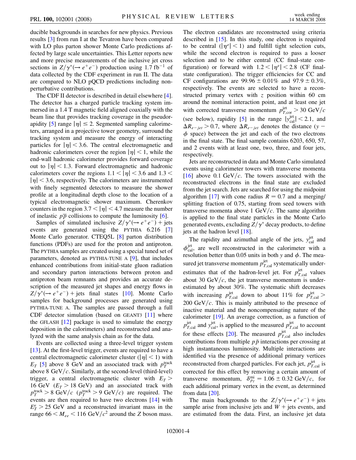ducible backgrounds in searches for new physics. Previous results [[3\]](#page-6-20) from run I at the Tevatron have been compared with LO plus parton shower Monte Carlo predictions affected by large scale uncertainties. This Letter reports new and more precise measurements of the inclusive jet cross sections in  $Z/\gamma^*(\rightarrow e^+e^-)$  production using 1.7 fb<sup>-1</sup> of data collected by the CDF experiment in run II. The data are compared to NLO pQCD predictions including nonperturbative contributions.

The CDF II detector is described in detail elsewhere [[4\]](#page-6-21). The detector has a charged particle tracking system immersed in a 1.4 T magnetic field aligned coaxially with the beam line that provides tracking coverage in the pseudor-apidity [[5](#page-6-22)] range  $|\eta| \le 2$ . Segmented sampling calorimeters, arranged in a projective tower geometry, surround the tracking system and measure the energy of interacting particles for  $|\eta|$  < 3.6. The central electromagnetic and hadronic calorimeters cover the region  $|\eta|$  < 1, while the end-wall hadronic calorimeter provides forward coverage out to  $|\eta|$  < 1.3. Forward electromagnetic and hadronic calorimeters cover the regions  $1.1 < |\eta| < 3.6$  and  $1.3 <$  $|\eta|$  < 3.6, respectively. The calorimeters are instrumented with finely segmented detectors to measure the shower profile at a longitudinal depth close to the location of a typical electromagnetic shower maximum. Cherenkov counters in the region  $3.7 < |\eta| < 4.7$  measure the number of inelastic  $p\overline{p}$  collisions to compute the luminosity [[6\]](#page-6-23).

Samples of simulated inclusive  $Z/\gamma^*(\rightarrow e^+e^-)$  + jets events are generated using the PYTHIA 6.216 [\[7\]](#page-6-24) Monte Carlo generator. CTEQ5L [\[8\]](#page-6-25) parton distribution functions (PDFs) are used for the proton and antiproton. The PYTHIA samples are created using a special tuned set of parameters, denoted as PYTHIA-TUNE A [\[9](#page-6-26)], that includes enhanced contributions from initial-state gluon radiation and secondary parton interactions between proton and antiproton beam remnants and provides an accurate description of the measured jet shapes and energy flows in  $Z/\gamma^*(\rightarrow e^+e^-)$  + jets final states [\[10\]](#page-6-27). Monte Carlo samples for background processes are generated using PYTHIA-TUNE A. The samples are passed through a full CDF detector simulation (based on GEANT3 [[11](#page-6-28)] where the GFLASH  $[12]$  $[12]$  $[12]$  package is used to simulate the energy deposition in the calorimeters) and reconstructed and analyzed with the same analysis chain as for the data.

Events are collected using a three-level trigger system [\[13\]](#page-6-30). At the first-level trigger, events are required to have a central electromagnetic calorimeter cluster  $(|\eta| < 1)$  with  $E_T$  [[5\]](#page-6-22) above 8 GeV and an associated track with  $p_T^{\text{track}}$ above 8 GeV/ $c$ . Similarly, at the second-level (third-level) trigger, a central electromagnetic cluster with  $E_T$ 16 GeV  $(E_T > 18 \text{ GeV})$  and an associated track with  $p_T^{\text{track}} > 8 \text{ GeV}/c$  ( $p_T^{\text{track}} > 9 \text{ GeV}/c$ ) are required. The events are then required to have two electrons [[14\]](#page-6-31) with  $E_T^e > 25$  GeV and a reconstructed invariant mass in the range  $66 < M_{ee} < 116 \text{ GeV}/c^2$  around the *Z* boson mass. The electron candidates are reconstructed using criteria described in [\[15\]](#page-6-32). In this study, one electron is required to be central  $(|\eta^e| < 1)$  and fulfill tight selection cuts, while the second electron is required to pass a looser selection and to be either central (CC final-state configuration) or forward with  $1.2 < |\eta^e| < 2.8$  (CF finalstate configuration). The trigger efficiencies for CC and CF configurations are  $99.96 \pm 0.01\%$  and  $97.9 \pm 0.3\%$ , respectively. The events are selected to have a reconstructed primary vertex with *z* position within 60 cm around the nominal interaction point, and at least one jet with corrected transverse momentum  $p_{T,\text{cor}}^{\text{jet}} > 30 \text{ GeV}/c$ (see below), rapidity [[5\]](#page-6-22) in the range  $|y_{\text{cal}}^{\text{jet}}| < 2.1$ , and  $\Delta R_{e-jet} > 0.7$ , where  $\Delta R_{e-jet}$  denotes the distance (*y* –  $\phi$  space) between the jet and each of the two electrons in the final state. The final sample contains 6203, 650, 57, and 2 events with at least one, two, three, and four jets, respectively.

Jets are reconstructed in data and Monte Carlo simulated events using calorimeter towers with transverse momenta  $[16]$  above 0.1 GeV/c. The towers associated with the reconstructed electrons in the final state are excluded from the jet search. Jets are searched for using the midpoint algorithm [\[17\]](#page-7-1) with cone radius  $R = 0.7$  and a merging/ splitting fraction of 0.75, starting from seed towers with transverse momenta above 1 GeV $/c$ . The same algorithm is applied to the final state particles in the Monte Carlo generated events, excluding  $Z/\gamma^*$  decay products, to define jets at the hadron level [[18](#page-7-2)].

The rapidity and azimuthal angle of the jets,  $y_{\text{cal}}^{\text{jet}}$  and  $\phi_{\text{cal}}^{\text{jet}}$ , are well reconstructed in the calorimeter with a resolution better than 0.05 units in both *y* and  $\phi$ . The measured jet transverse momentum  $p_{T,\text{cal}}^{\text{jet}}$  systematically underestimates that of the hadron-level jet. For  $p_{T,\text{cal}}^{\text{jet}}$  values about 30 GeV $/c$ , the jet transverse momentum is underestimated by about 30%. The systematic shift decreases with increasing  $p_{T,\text{cal}}^{\text{jet}}$  down to about 11% for  $p_{T,\text{cal}}^{\text{jet}}$  >  $200 \text{ GeV}/c$ . This is mainly attributed to the presence of inactive material and the noncompensating nature of the calorimeter [\[19\]](#page-7-3). An average correction, as a function of  $p_{T,\text{cal}}^{\text{jet}}$  and  $y_{\text{cal}}^{\text{jet}}$ , is applied to the measured  $p_{T,\text{cal}}^{\text{jet}}$  to account for these effects [\[20\]](#page-7-4). The measured  $p_{T,\text{cal}}^{\text{jet}}$  also includes contributions from multiple  $p\bar{p}$  interactions per crossing at high instantaneous luminosity. Multiple interactions are identified via the presence of additional primary vertices reconstructed from charged particles. For each jet,  $p_{T,\text{cal}}^{\text{jet}}$  is corrected for this effect by removing a certain amount of transverse momentum,  $\delta_{p_T}^{\text{mi}} = 1.06 \pm 0.32 \text{ GeV}/c$ , for each additional primary vertex in the event, as determined from data [\[20\]](#page-7-4).

The main backgrounds to the  $Z/\gamma^*(\rightarrow e^+e^-)$  + jets sample arise from inclusive jets and  $W +$  jets events, and are estimated from the data. First, an inclusive jet data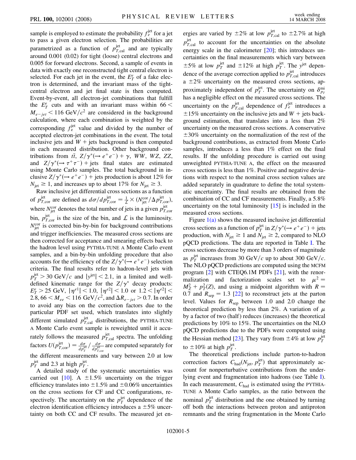sample is employed to estimate the probability  $f_e^{\text{jet}}$  for a jet to pass a given electron selection. The probabilities are parametrized as a function of  $p_{T,\text{cal}}^{\text{jet}}$  and are typically around 0.001 (0.02) for tight (loose) central electrons and 0.005 for forward electrons. Second, a sample of events in data with exactly one reconstructed tight central electron is selected. For each jet in the event, the  $E_T^e$  of a fake electron is determined, and the invariant mass of the tightcentral electron and jet final state is then computed. Event-by-event, all electron-jet combinations that fulfill the  $E_T^e$  cuts and with an invariant mass within 66  $\lt$  $M_{e-jet}$  < 116 GeV/ $c^2$  are considered in the background calculation, where each combination is weighted by the corresponding  $f_e^{\text{jet}}$  value and divided by the number of accepted electron-jet combinations in the event. The total inclusive jets and  $W$  + jets background is then computed in each measured distribution. Other background contributions from  $t\bar{t}$ ,  $Z/\gamma^*(\rightarrow e^+e^-) + \gamma$ , *WW*, *WZ*, *ZZ*, and  $Z/\gamma^*(\rightarrow \tau^+\tau^-)$  + jets final states are estimated using Monte Carlo samples. The total background in inclusive  $Z/\gamma^*(\rightarrow e^+e^-)$  + jets production is about 12% for  $N_{\text{jet}} \geq 1$ , and increases up to about 17% for  $N_{\text{jet}} \geq 3$ .

Raw inclusive jet differential cross sections as a function of  $p_{T,\text{cor}}^{\text{jet}}$  are defined as  $d\sigma/dp_{T,\text{cor}}^{\text{jet}} = \frac{1}{\mathcal{L}} \times (N_{\text{jet}}^{\text{cor}}/\Delta p_{T,\text{cor}}^{\text{jet}})$ , where  $N_{\rm jet}^{\rm cor}$  denotes the total number of jets in a given  $p_{T,\rm cor}^{\rm jet}$ bin,  $p_{T,\text{cor}}^{\text{jet}}$  is the size of the bin, and  $\mathcal L$  is the luminosity.  $N<sub>jet</sub><sup>cor</sup>$  is corrected bin-by-bin for background contributions and trigger inefficiencies. The measured cross sections are then corrected for acceptance and smearing effects back to the hadron level using PYTHIA-TUNE A Monte Carlo event samples, and a bin-by-bin unfolding procedure that also accounts for the efficiency of the  $Z/\gamma^*(\rightarrow e^+e^-)$  selection criteria. The final results refer to hadron-level jets with  $p_T^{\text{jet}} > 30 \text{ GeV}/c$  and  $|y^{\text{jet}}| < 2.1$ , in a limited and welldefined kinematic range for the  $Z/\gamma^*$  decay products:  $E_T^e > 25$  GeV,  $|\eta^{e1}| < 1.0$ ,  $|\eta^{e2}| < 1.0$  or  $1.2 < |\eta^{e2}| <$ 2.8,  $66 < M_{ee} < 116 \text{ GeV}/c^2$ , and  $\Delta R_{e-jet} > 0.7$ . In order to avoid any bias on the correction factors due to the particular PDF set used, which translates into slightly different simulated  $p_{T,\text{cal}}^{\text{jet}}$  distributions, the PYTHIA-TUNE A Monte Carlo event sample is reweighted until it accurately follows the measured  $p_{T,\text{cal}}^{\text{jet}}$  spectra. The unfolding factors  $U(p_{T,\text{cor}}^{\text{jet}}) = \frac{d\sigma}{dp_T^{\text{jet}}} / \frac{d\sigma}{dp_{T,\text{cor}}^{\text{jet}}}$  are computed separately for the different measurements and vary between 2.0 at low  $p_T^{\text{jet}}$  and 2.3 at high  $p_T^{\text{jet}}$ .

A detailed study of the systematic uncertainties was carried out  $[10]$ . A  $\pm 1.5\%$  uncertainty on the trigger efficiency translates into  $\pm 1.5\%$  and  $\pm 0.06\%$  uncertainties on the cross sections for CF and CC configurations, respectively. The uncertainty on the  $p_T^{\text{jet}}$  dependence of the electron identification efficiency introduces a  $\pm 5\%$  uncertainty on both CC and CF results. The measured jet en-

ergies are varied by  $\pm 2\%$  at low  $p_{T,\text{cal}}^{\text{jet}}$  to  $\pm 2.7\%$  at high  $p_{T,\text{cal}}^{\text{jet}}$  to account for the uncertainties on the absolute energy scale in the calorimeter [[20](#page-7-4)]; this introduces uncertainties on the final measurements which vary between  $\pm 5\%$  at low  $p_T^{\text{jet}}$  and  $\pm 12\%$  at high  $p_T^{\text{jet}}$ . The  $y^{\text{jet}}$  dependence of the average correction applied to  $p_{T,\text{cal}}^{\text{jet}}$  introduces a  $\pm 2\%$  uncertainty on the measured cross sections, approximately independent of  $p_T^{\text{jet}}$ . The uncertainty on  $\delta_{p_T}^{\text{min}}$ has a negligible effect on the measured cross sections. The uncertainty on the  $p_{T,\text{cal}}^{\text{jet}}$  dependence of  $f_e^{\text{jet}}$  introduces a  $\pm 15\%$  uncertainty on the inclusive jets and  $W +$  jets background estimation, that translates into a less than 2% uncertainty on the measured cross sections. A conservative  $\pm 30\%$  uncertainty on the normalization of the rest of the background contributions, as extracted from Monte Carlo samples, introduces a less than 1% effect on the final results. If the unfolding procedure is carried out using unweighted PYTHIA-TUNE A, the effect on the measured cross sections is less than 1%. Positive and negative deviations with respect to the nominal cross section values are added separately in quadrature to define the total systematic uncertainty. The final results are obtained from the combination of CC and CF measurements. Finally, a 5*:*8% uncertainty on the total luminosity [[15](#page-6-32)] is included in the measured cross sections.

Figure  $1(a)$  shows the measured inclusive jet differential cross sections as a function of  $p_T^{\text{jet}}$  in  $Z/\gamma^*(\rightarrow e^+e^-)$  + jets production, with  $N_{\text{jet}} \geq 1$  and  $N_{\text{jet}} \geq 2$ , compared to NLO pQCD predictions. The data are reported in Table [I](#page-5-1). The cross sections decrease by more than 3 orders of magnitude as  $p_T^{\text{jet}}$  increases from 30 GeV/c up to about 300 GeV/c. The NLO pQCD predictions are computed using the MCFM program [[2\]](#page-6-19) with CTEQ6.1M PDFs [\[21\]](#page-7-5), with the renormalization and factorization scales set to  $\mu^2 =$  $M_Z^2 + p_T^2(Z)$ , and using a midpoint algorithm with  $R =$ 0.7 and  $R_{\text{sep}} = 1.3$  [\[22\]](#page-7-6) to reconstruct jets at the parton level. Values for  $R_{\text{sep}}$  between 1.0 and 2.0 change the theoretical prediction by less than 2%. A variation of  $\mu$ by a factor of two (half) reduces (increases) the theoretical predictions by 10% to 15%. The uncertainties on the NLO pQCD predictions due to the PDFs were computed using the Hessian method [\[23](#page-7-7)]. They vary from  $\pm 4\%$  at low  $p_T^{\text{jet}}$ to  $\pm 10\%$  at high  $p_T^{\text{jet}}$ .

The theoretical predictions include parton-to-hadron correction factors  $C_{\text{had}}(N_{\text{jet}}, p_T^{\text{jet}})$  that approximately account for nonperturbative contributions from the underlying event and fragmentation into hadrons (see Table [I\)](#page-5-1). In each measurement,  $C_{\text{had}}$  is estimated using the PYTHIA-TUNE A Monte Carlo samples, as the ratio between the nominal  $p_T^{\text{jet}}$  distribution and the one obtained by turning off both the interactions between proton and antiproton remnants and the string fragmentation in the Monte Carlo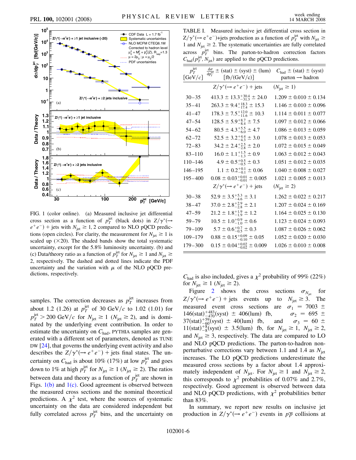

<span id="page-5-0"></span>FIG. 1 (color online). (a) Measured inclusive jet differential cross section as a function of  $p_T^{\text{jet}}$  (black dots) in  $Z/\gamma^*$  ( $\rightarrow$  $e^+e^-$ ) + jets with  $N_{jet} \ge 1$ , 2 compared to NLO pQCD predictions (open circles). For clarity, the measurement for  $N_{\text{jet}} \geq 1$  is scaled up  $(\times 20)$ . The shaded bands show the total systematic uncertainty, except for the 5*:*8% luminosity uncertainty. (b) and (c) Data/theory ratio as a function of  $p_T^{\text{jet}}$  for  $N_{\text{jet}} \ge 1$  and  $N_{\text{jet}} \ge$ 2, respectively. The dashed and dotted lines indicate the PDF uncertainty and the variation with  $\mu$  of the NLO pQCD predictions, respectively.

samples. The correction decreases as  $p_T^{\text{jet}}$  increases from about 1.2 (1.26) at  $p_T^{\text{jet}}$  of 30 GeV/c to 1.02 (1.01) for  $p_T^{\text{jet}} > 200 \text{ GeV}/c$  for  $N_{\text{jet}} \ge 1$  ( $N_{\text{jet}} \ge 2$ ), and is dominated by the underlying event contribution. In order to estimate the uncertainty on  $C_{\text{had}}$ , PYTHIA samples are generated with a different set of parameters, denoted as TUNE DW [\[24\]](#page-7-8), that governs the underlying event activity and also describes the  $Z/\gamma^*(\rightarrow e^+e^-)$  + jets final states. The uncertainty on  $C_{\text{had}}$  is about 10% (17%) at low  $p_T^{\text{jet}}$  and goes down to 1% at high  $p_T^{\text{jet}}$  for  $N_{\text{jet}} \ge 1$  ( $N_{\text{jet}} \ge 2$ ). The ratios between data and theory as a function of  $p_T^{\text{jet}}$  are shown in Figs.  $1(b)$  and  $1(c)$ . Good agreement is observed between the measured cross sections and the nominal theoretical predictions. A  $\chi^2$  test, where the sources of systematic uncertainty on the data are considered independent but fully correlated across  $p_T^{\text{jet}}$  bins, and the uncertainty on

<span id="page-5-1"></span>TABLE I. Measured inclusive jet differential cross section in  $Z/\gamma^*(\rightarrow e^+e^-)$ +jets production as a function of  $p_T^{\text{jet}}$  with  $N_{\text{jet}} \ge$ 1 and  $N_{\text{jet}} \geq 2$ . The systematic uncertainties are fully correlated  $\alpha$ cross  $p_T^{\text{jet}}$  bins. The parton-to-hadron correction factors  $C_{\text{had}}(p_T^{\text{jet}}, N_{\text{jet}})$  are applied to the pQCD predictions.

| $p_T^{\text{jet}}$<br>[GeV/c] | $\frac{d\sigma}{dp_{\tau}^{\text{jet}}}$ $\pm$ (stat) $\pm$ (syst) $\pm$ (lum)<br>[fb/(GeV/c)] | $C_{\text{had}} \pm (\text{stat}) \pm (\text{syst})$<br>$parton \rightarrow hadron$ |
|-------------------------------|------------------------------------------------------------------------------------------------|-------------------------------------------------------------------------------------|
|                               | $Z/\gamma^*(\rightarrow e^+e^-)$ + jets                                                        | $(N_{\text{jet}} \geq 1)$                                                           |
| $30 - 35$                     | $413.3 \pm 13.3_{-313}^{+30.4} \pm 24.0$                                                       | $1.209 \pm 0.010 \pm 0.134$                                                         |
| $35 - 41$                     | $263.3 \pm 9.4^{+18.3}_{-17.4} \pm 15.3$                                                       | $1.146 \pm 0.010 \pm 0.096$                                                         |
| $41 - 47$                     | $178.3 \pm 7.5^{+12.0}_{-11.6} \pm 10.3$                                                       | $1.114 \pm 0.011 \pm 0.077$                                                         |
| $47 - 54$                     | $128.5 \pm 5.9^{+8.7}_{-8.4} \pm 7.5$                                                          | $1.097 \pm 0.012 \pm 0.066$                                                         |
| $54 - 62$                     | $80.5 \pm 4.3^{+5.5}_{-6.0} \pm 4.7$                                                           | $1.086 \pm 0.013 \pm 0.059$                                                         |
| $62 - 72$                     | $52.5 \pm 3.2^{+4.4}_{-4.3} \pm 3.0$                                                           | $1.078 \pm 0.013 \pm 0.053$                                                         |
| $72 - 83$                     | $34.2 \pm 2.4^{+2.5}_{-2.8} \pm 2.0$                                                           | $1.072 \pm 0.015 \pm 0.049$                                                         |
| $83 - 110$                    | $16.0 \pm 1.1_{-1.3}^{+1.5} \pm 0.9$                                                           | $1.063 \pm 0.012 \pm 0.043$                                                         |
| $110 - 146$                   | $4.9 \pm 0.5^{+0.5}_{-0.5} \pm 0.3$                                                            | $1.051 \pm 0.012 \pm 0.035$                                                         |
| $146 - 195$                   | $1.1 \pm 0.2^{+0.1}_{-0.1} \pm 0.06$                                                           | $1.040 \pm 0.008 \pm 0.027$                                                         |
| $195 - 400$                   | $0.08 \pm 0.03_{-0.01}^{+0.01} \pm 0.005$                                                      | $1.021 \pm 0.005 \pm 0.013$                                                         |
|                               | $Z/\gamma^*(\rightarrow e^+e^-)$ + jets                                                        | $(N_{\text{jet}} \geq 2)$                                                           |
| $30 - 38$                     | $52.9 \pm 3.5^{+5.3}_{-4.6} \pm 3.1$                                                           | $1.262 \pm 0.022 \pm 0.217$                                                         |
| $38 - 47$                     | $37.0 \pm 2.8^{+2.9}_{-2.8} \pm 2.1$                                                           | $1.207 \pm 0.024 \pm 0.169$                                                         |
| $47 - 59$                     | $21.2 \pm 1.8_{-1.9}^{+1.9} \pm 1.2$                                                           | $1.164 \pm 0.025 \pm 0.130$                                                         |
| $59 - 79$                     | $10.5 \pm 1.0^{+0.9}_{-1.0} \pm 0.6$                                                           | $1.123 \pm 0.024 \pm 0.093$                                                         |
| $79 - 109$                    | $5.7 \pm 0.6^{+0.7}_{-0.5} \pm 0.3$                                                            | $1.087 \pm 0.026 \pm 0.062$                                                         |
| $109 - 179$                   | $0.88 \pm 0.15^{+0.09}_{-0.10} \pm 0.05$                                                       | $1.052 \pm 0.020 \pm 0.030$                                                         |
| $179 - 300$                   | $0.15 \pm 0.04_{-0.02}^{+0.02} \pm 0.009$                                                      | $1.026 \pm 0.010 \pm 0.008$                                                         |
|                               |                                                                                                |                                                                                     |

 $C_{\text{had}}$  is also included, gives a  $\chi^2$  probability of 99% (22%) for  $N_{\text{jet}} \geq 1$  ( $N_{\text{jet}} \geq 2$ ).

Figure [2](#page-6-33) shows the cross sections  $\sigma_{N_{\text{tot}}}$  for  $Z/\gamma^*(\rightarrow e^+e^-)$  + jets events up to  $N_{jet} \ge 3$ . The measured event cross sections are  $\sigma_1 = 7003 \pm$  $146(stat)_{-470}^{+483}(syst) \pm 406($  $\sigma_2$  = 695  $\pm$  $37(stat)^{+59}_{-60}(syst) \pm 40($ and  $\sigma_3 = 60 \pm$  $11(stat)^{+8}_{-8}(syst) \pm 3.5(lum)$  fb, for  $N_{jet} \ge 1$ ,  $N_{jet} \ge 2$ , and  $N_{\text{jet}} \geq 3$ , respectively. The data are compared to LO and NLO pQCD predictions. The parton-to-hadron nonperturbative corrections vary between 1.1 and 1.4 as  $N_{\text{jet}}$ increases. The LO pQCD predictions underestimate the measured cross sections by a factor about 1.4 approximately independent of  $N_{jet}$ . For  $N_{jet} \ge 1$  and  $N_{jet} \ge 2$ , this corresponds to  $\chi^2$  probabilities of 0.07% and 2.7%, respectively. Good agreement is observed between data and NLO pQCD predictions, with  $\chi^2$  probabilities better than 83%.

In summary, we report new results on inclusive jet production in  $Z/\gamma^*(\rightarrow e^+e^-)$  events in  $p\overline{p}$  collisions at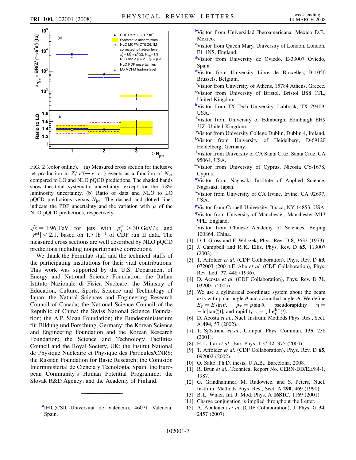<span id="page-6-33"></span>

FIG. 2 (color online). (a) Measured cross section for inclusive jet production in  $Z/\gamma^*(\rightarrow e^+e^-)$  events as a function of  $N_{jet}$ compared to LO and NLO pQCD predictions. The shaded bands show the total systematic uncertainty, except for the 5*:*8% luminosity uncertainty. (b) Ratio of data and NLO to LO pQCD predictions versus *N*jet. The dashed and dotted lines indicate the PDF uncertainty and the variation with  $\mu$  of the NLO pQCD predictions, respectively.

 $\sqrt{s} = 1.96 \text{ TeV}$  for jets with  $p_T^{\text{jet}} > 30 \text{ GeV}/c$  and  $|y^{jet}|$  < 2.1, based on 1.7 fb<sup>-1</sup> of CDF run II data. The measured cross sections are well described by NLO pQCD predictions including nonperturbative corrections.

We thank the Fermilab staff and the technical staffs of the participating institutions for their vital contributions. This work was supported by the U.S. Department of Energy and National Science Foundation; the Italian Istituto Nazionale di Fisica Nucleare; the Ministry of Education, Culture, Sports, Science and Technology of Japan; the Natural Sciences and Engineering Research Council of Canada; the National Science Council of the Republic of China; the Swiss National Science Foundation; the A.P. Sloan Foundation; the Bundesministerium für Bildung und Forschung, Germany; the Korean Science and Engineering Foundation and the Korean Research Foundation; the Science and Technology Facilities Council and the Royal Society, UK; the Institut National de Physique Nucleaire et Physique des Particules/CNRS; the Russian Foundation for Basic Research; the Comisión Interministerial de Ciencia y Tecnología, Spain; the European Community's Human Potential Programme; the Slovak R&D Agency; and the Academy of Finland.

<span id="page-6-1"></span>**[b](#page-0-1)**Visitor from Universidad Iberoamericana, Mexico D.F., Mexico.

- <span id="page-6-2"></span>[c](#page-0-2) Visitor from Queen Mary, University of London, London, E1 4NS, England.
- <span id="page-6-3"></span>[d](#page-0-0)Visitor from University de Oviedo, E-33007 Oviedo, Spain.
- <span id="page-6-4"></span>[e](#page-0-3) Visitor from University Libre de Bruxelles, B-1050 Brussels, Belgium.
- <span id="page-6-5"></span>[f](#page-0-4)Visitor from University of Athens, 15784 Athens, Greece.
- <span id="page-6-6"></span>[g](#page-0-5) Visitor from University of Bristol, Bristol BS8 1TL, United Kingdom.
- <span id="page-6-7"></span>[h](#page-0-6)Visitor from TX Tech University, Lubbock, TX 79409, USA.
- <span id="page-6-8"></span><sup>[i](#page-0-7)</sup>Visitor from University of Edinburgh, Edinburgh EH9 3JZ, United Kingdom.
- <span id="page-6-10"></span><span id="page-6-9"></span>[j](#page-0-8) Visitor from University College Dublin, Dublin 4, Ireland. <sup>[k](#page-0-9)</sup>Visitor from University of Heidelberg, D-69120 Heidelberg, Germany.
- <span id="page-6-11"></span>[l](#page-1-0) Visitor from University of CA Santa Cruz, Santa Cruz, CA 95064, USA.
- <span id="page-6-12"></span>[mV](#page-1-1)isitor from University of Cyprus, Nicosia CY-1678, Cyprus.
- <span id="page-6-13"></span><sup>[n](#page-1-2)</sup>Visitor from Nagasaki Institute of Applied Science, Nagasaki, Japan.
- <span id="page-6-14"></span><sup>[o](#page-1-3)</sup>Visitor from University of CA Irvine, Irvine, CA 92697, USA.
- <span id="page-6-16"></span><span id="page-6-15"></span>PVisitor from Cornell University, Ithaca, NY 14853, USA. <sup>[q](#page-1-5)</sup>Visitor from University of Manchester, Manchester M13 9PL, England.

<span id="page-6-17"></span>'Visito[r](#page-1-6) from Chinese Academy of Sciences, Beijing 100864, China.

- <span id="page-6-19"></span><span id="page-6-18"></span>[1] D. J. Gross and F. Wilczek, Phys. Rev. D **8**, 3633 (1973).
- [2] J. Campbell and R. K. Ellis, Phys. Rev. D **65**, 113007 (2002).
- <span id="page-6-20"></span>[3] T. Affolder *et al.* (CDF Collaboration), Phys. Rev. D **63**, 072003 (2001).F. Abe *et al.* (CDF Collaboration), Phys. Rev. Lett. **77**, 448 (1996).
- <span id="page-6-21"></span>[4] D. Acosta *et al.* (CDF Collaboration), Phys. Rev. D **71**, 032001 (2005).
- <span id="page-6-22"></span>[5] We use a cylindrical coordinate system about the beam axis with polar angle  $\theta$  and azimuthal angle  $\phi$ . We define  $E_T = E \sin \theta$ ,  $p_T = p \sin \theta$ , pseudorapidity  $\eta =$ - ln[tan( $\frac{\theta}{2}$ )], and rapidity  $y = \frac{1}{2} \ln \left( \frac{E + p_z}{E - p_z} \right)$ .
- <span id="page-6-23"></span>[6] D. Acosta *et al.*, Nucl. Instrum. Methods Phys. Res., Sect. A **494**, 57 (2002).
- <span id="page-6-24"></span>[7] T. Sjöstrand *et al.*, Comput. Phys. Commun. **135**, 238 (2001).
- <span id="page-6-26"></span><span id="page-6-25"></span>[8] H. L. Lai *et al.*, Eur. Phys. J. C **12**, 375 (2000).
- [9] T. Affolder *et al.* (CDF Collaboration), Phys. Rev. D **65**, 092002 (2002).
- <span id="page-6-28"></span><span id="page-6-27"></span>[10] O. Saltó, Ph.D. thesis, U.A.B., Barcelona, 2008.
- [11] R. Brun *et al.*, Technical Report No. CERN-DD/EE/84-1, 1987.
- <span id="page-6-29"></span>[12] G. Grindhammer, M. Rudowicz, and S. Peters, Nucl. Instrum. Methods Phys. Res., Sect. A **290**, 469 (1990).
- <span id="page-6-31"></span><span id="page-6-30"></span>[13] B. L. Winer, Int. J. Mod. Phys. A **16S1C**, 1169 (2001).
- <span id="page-6-32"></span>[14] Charge conjugation is implied throughout the Letter.
- [15] A. Abulencia *et al.* (CDF Collaboration), J. Phys. G **34**, 2457 (2007).

<span id="page-6-0"></span><sup>&</sup>lt;sup>[a](#page-0-0)</sup>IFIC(CSIC-Universitat de Valencia), 46071 Valencia, Spain.